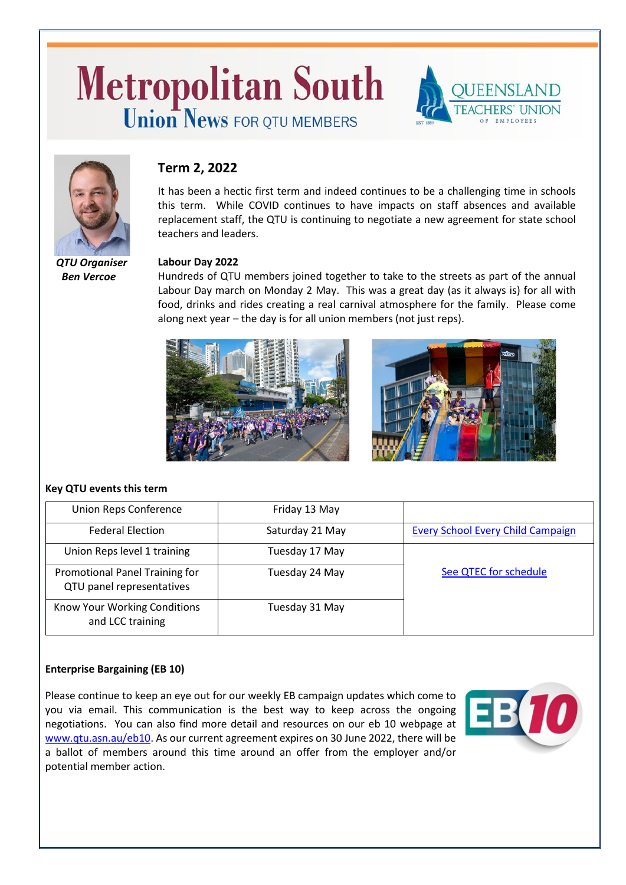# **Metropolitan South Union News FOR OTU MEMBERS**



# **Term 2, 2022**

It has been a hectic first term and indeed continues to be a challenging time in schools this term. While COVID continues to have impacts on staff absences and available replacement staff, the QTU is continuing to negotiate a new agreement for state school teachers and leaders.

 *QTU Organiser Ben Vercoe*

#### **Labour Day 2022**

Hundreds of QTU members joined together to take to the streets as part of the annual Labour Day march on Monday 2 May. This was a great day (as it always is) for all with food, drinks and rides creating a real carnival atmosphere for the family. Please come along next year – the day is for all union members (not just reps).



#### **Key QTU events this term**

| <b>Union Reps Conference</b>                                | Friday 13 May   |                                          |
|-------------------------------------------------------------|-----------------|------------------------------------------|
| <b>Federal Election</b>                                     | Saturday 21 May | <b>Every School Every Child Campaign</b> |
| Union Reps level 1 training                                 | Tuesday 17 May  |                                          |
| Promotional Panel Training for<br>QTU panel representatives | Tuesday 24 May  | See QTEC for schedule                    |
| Know Your Working Conditions<br>and LCC training            | Tuesday 31 May  |                                          |

### **Enterprise Bargaining (EB 10)**

Please continue to keep an eye out for our weekly EB campaign updates which come to you via email. This communication is the best way to keep across the ongoing negotiations. You can also find more detail and resources on our eb 10 webpage at [www.qtu.asn.au/eb10.](http://www.qtu.asn.au/eb10) As our current agreement expires on 30 June 2022, there will be a ballot of members around this time around an offer from the employer and/or potential member action.